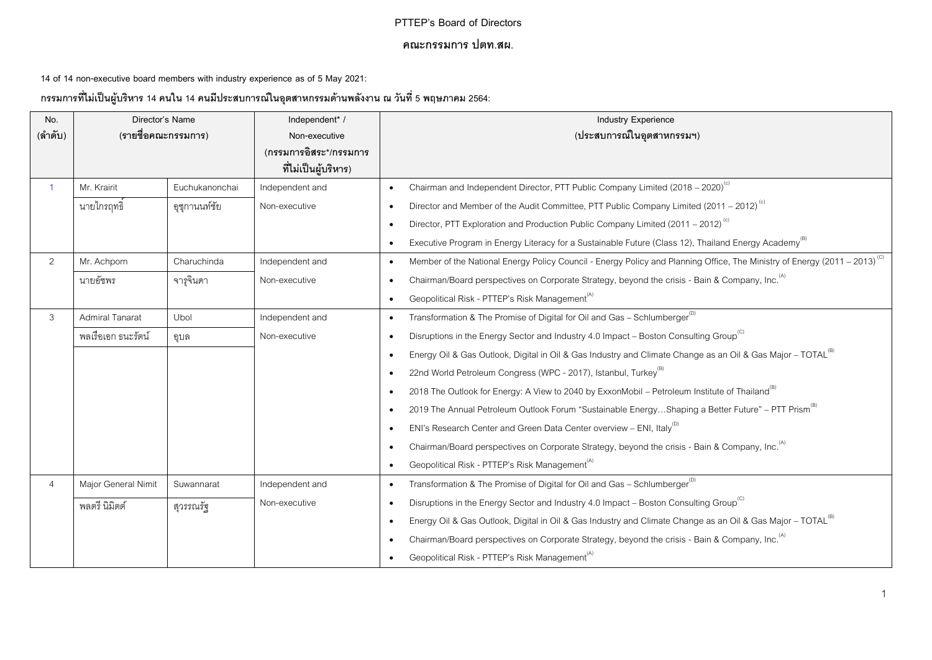## **PTTEP's Board of Directors**

## **คณะกรรมการ ปตท.สผ.**

**14 of 14 non-executive board members with industry experience as of 5 May 2021:**

**กรรมการทไี่ ม่เป็นผู้บริหาร 14 คนใน 14 คนมีประสบการณ์ในอุตสาหกรรมด้านพลังงาน ณ วันที่5 พฤษภาคม 2564:**

| No.            | Director's Name        |                | Independent* /         | <b>Industry Experience</b>                                                                                                                         |
|----------------|------------------------|----------------|------------------------|----------------------------------------------------------------------------------------------------------------------------------------------------|
| (ลำดับ)        | (รายชื่อคณะกรรมการ)    |                | Non-executive          | (ประสบการณ์ในอุตสาหกรรมฯ)                                                                                                                          |
|                |                        |                | (กรรมการอิสระ*/กรรมการ |                                                                                                                                                    |
|                |                        |                | ที่ไม่เป็นผู้บริหาร)   |                                                                                                                                                    |
| $\overline{1}$ | Mr. Krairit            | Euchukanonchai | Independent and        | Chairman and Independent Director, PTT Public Company Limited (2018 - 2020) <sup>(c)</sup><br>$\bullet$                                            |
|                | นายไกรฤทธิ์            | อุชุกานนท์ชัย  | Non-executive          | Director and Member of the Audit Committee, PTT Public Company Limited (2011 – 2012) <sup>(c)</sup><br>$\bullet$                                   |
|                |                        |                |                        | Director, PTT Exploration and Production Public Company Limited (2011 – 2012) <sup>(c)</sup><br>$\bullet$                                          |
|                |                        |                |                        | Executive Program in Energy Literacy for a Sustainable Future (Class 12), Thailand Energy Academy <sup>(6)</sup><br>$\bullet$                      |
| 2              | Mr. Achporn            | Charuchinda    | Independent and        | Member of the National Energy Policy Council - Energy Policy and Planning Office, The Ministry of Energy (2011 - 2013) <sup>(C)</sup><br>$\bullet$ |
|                | นายอัชพร               | จารุจินดา      | Non-executive          | Chairman/Board perspectives on Corporate Strategy, beyond the crisis - Bain & Company, Inc. <sup>(A)</sup><br>$\bullet$                            |
|                |                        |                |                        | Geopolitical Risk - PTTEP's Risk Management <sup>(A)</sup><br>$\bullet$                                                                            |
| 3              | <b>Admiral Tanarat</b> | Ubol           | Independent and        | Transformation & The Promise of Digital for Oil and Gas - Schlumberger <sup>(D)</sup><br>$\bullet$                                                 |
|                | พลเรือเอก ธนะรัตน์     | ิ์<br>ดูบล     | Non-executive          | Disruptions in the Energy Sector and Industry 4.0 Impact - Boston Consulting Group <sup>(C)</sup><br>$\bullet$                                     |
|                |                        |                |                        | Energy Oil & Gas Outlook, Digital in Oil & Gas Industry and Climate Change as an Oil & Gas Major - TOTAL <sup>(B)</sup><br>$\bullet$               |
|                |                        |                |                        | 22nd World Petroleum Congress (WPC - 2017), Istanbul, Turkey <sup>(B)</sup><br>$\bullet$                                                           |
|                |                        |                |                        | 2018 The Outlook for Energy: A View to 2040 by ExxonMobil - Petroleum Institute of Thailand <sup>(b)</sup><br>$\bullet$                            |
|                |                        |                |                        | 2019 The Annual Petroleum Outlook Forum "Sustainable EnergyShaping a Better Future" - PTT Prism <sup>(6)</sup><br>$\bullet$                        |
|                |                        |                |                        | ENI's Research Center and Green Data Center overview - ENI, Italy <sup>(1)</sup><br>$\bullet$                                                      |
|                |                        |                |                        | Chairman/Board perspectives on Corporate Strategy, beyond the crisis - Bain & Company, Inc. <sup>(A)</sup><br>$\bullet$                            |
|                |                        |                |                        | Geopolitical Risk - PTTEP's Risk Management <sup>(A)</sup><br>$\bullet$                                                                            |
| $\overline{4}$ | Major General Nimit    | Suwannarat     | Independent and        | Transformation & The Promise of Digital for Oil and Gas - Schlumberger $^{(0)}$<br>$\bullet$                                                       |
|                | พลตรี นิมิตต์          | สุวรรณรัฐ      | Non-executive          | Disruptions in the Energy Sector and Industry 4.0 Impact - Boston Consulting Group <sup>(C)</sup><br>$\bullet$                                     |
|                |                        |                |                        | Energy Oil & Gas Outlook, Digital in Oil & Gas Industry and Climate Change as an Oil & Gas Major - TOTAL <sup>(B)</sup><br>$\bullet$               |
|                |                        |                |                        | Chairman/Board perspectives on Corporate Strategy, beyond the crisis - Bain & Company, Inc. <sup>(A)</sup><br>$\bullet$                            |
|                |                        |                |                        | Geopolitical Risk - PTTEP's Risk Management <sup>(A)</sup><br>$\bullet$                                                                            |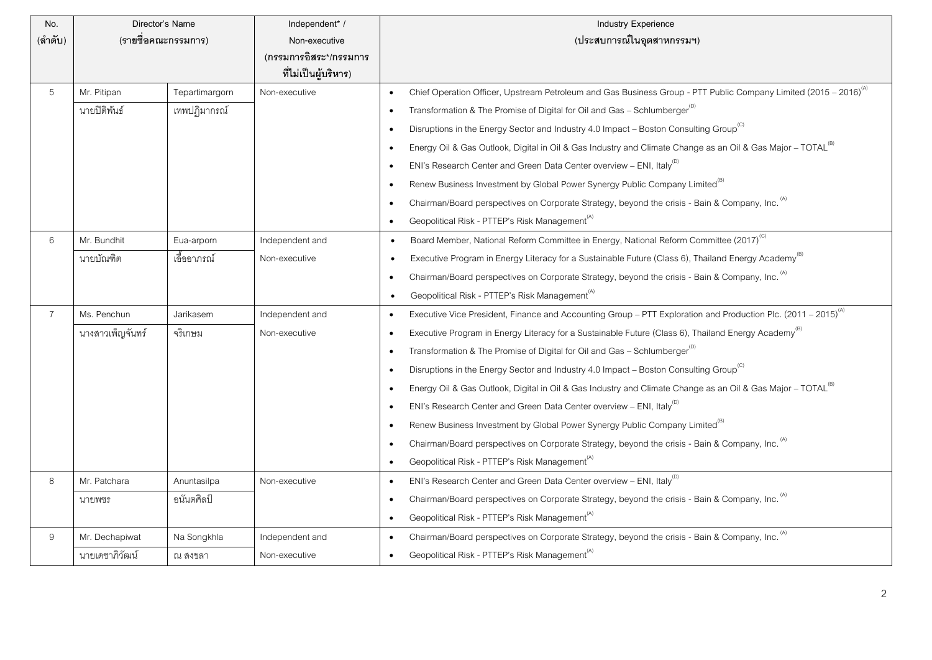| No.            | Director's Name     |                | Independent* /         | <b>Industry Experience</b>                                                                                                                |
|----------------|---------------------|----------------|------------------------|-------------------------------------------------------------------------------------------------------------------------------------------|
| (ลำดับ)        | (รายชื่อคณะกรรมการ) |                | Non-executive          | (ประสบการณ์ในอุตสาหกรรมฯ)                                                                                                                 |
|                |                     |                | (กรรมการอิสระ*/กรรมการ |                                                                                                                                           |
|                |                     |                | ที่ไม่เป็นผู้บริหาร)   |                                                                                                                                           |
| 5              | Mr. Pitipan         | Tepartimargorn | Non-executive          | Chief Operation Officer, Upstream Petroleum and Gas Business Group - PTT Public Company Limited (2015 - 2016) <sup>(A)</sup><br>$\bullet$ |
|                | นายปิติพันธ์        | เทพปฏิมากรณ์   |                        | Transformation & The Promise of Digital for Oil and Gas - Schlumberger <sup>(D)</sup><br>$\bullet$                                        |
|                |                     |                |                        | Disruptions in the Energy Sector and Industry 4.0 Impact - Boston Consulting Group <sup>(C)</sup><br>$\bullet$                            |
|                |                     |                |                        | Energy Oil & Gas Outlook, Digital in Oil & Gas Industry and Climate Change as an Oil & Gas Major - TOTAL <sup>(B)</sup><br>$\bullet$      |
|                |                     |                |                        | ENI's Research Center and Green Data Center overview - ENI, Italy <sup>(D)</sup><br>$\bullet$                                             |
|                |                     |                |                        | Renew Business Investment by Global Power Synergy Public Company Limited <sup>(B)</sup><br>$\bullet$                                      |
|                |                     |                |                        | Chairman/Board perspectives on Corporate Strategy, beyond the crisis - Bain & Company, Inc. (A)<br>$\bullet$                              |
|                |                     |                |                        | Geopolitical Risk - PTTEP's Risk Management <sup>(A)</sup><br>$\bullet$                                                                   |
| 6              | Mr. Bundhit         | Eua-arporn     | Independent and        | Board Member, National Reform Committee in Energy, National Reform Committee (2017) <sup>(C)</sup><br>$\bullet$                           |
|                | นายบัณฑิต           | เอื้ออาภรณ์    | Non-executive          | Executive Program in Energy Literacy for a Sustainable Future (Class 6), Thailand Energy Academy <sup>(b)</sup>                           |
|                |                     |                |                        | Chairman/Board perspectives on Corporate Strategy, beyond the crisis - Bain & Company, Inc. (A)<br>$\bullet$                              |
|                |                     |                |                        | Geopolitical Risk - PTTEP's Risk Management <sup>(A)</sup>                                                                                |
| $\overline{7}$ | Ms. Penchun         | Jarikasem      | Independent and        | Executive Vice President, Finance and Accounting Group - PTT Exploration and Production Plc. (2011 - 2015) <sup>(A)</sup><br>$\bullet$    |
|                | นางสาวเพ็ญจันทร์    | จริเกษม        | Non-executive          | Executive Program in Energy Literacy for a Sustainable Future (Class 6), Thailand Energy Academy <sup>(B)</sup><br>$\bullet$              |
|                |                     |                |                        | Transformation & The Promise of Digital for Oil and Gas - Schlumberger <sup>(D)</sup><br>$\bullet$                                        |
|                |                     |                |                        | Disruptions in the Energy Sector and Industry 4.0 Impact - Boston Consulting Group <sup>(C)</sup><br>$\bullet$                            |
|                |                     |                |                        | Energy Oil & Gas Outlook, Digital in Oil & Gas Industry and Climate Change as an Oil & Gas Major - TOTAL <sup>(B)</sup><br>$\bullet$      |
|                |                     |                |                        | ENI's Research Center and Green Data Center overview - ENI, Italy <sup>(D)</sup><br>$\bullet$                                             |
|                |                     |                |                        | Renew Business Investment by Global Power Synergy Public Company Limited <sup>(B)</sup><br>$\bullet$                                      |
|                |                     |                |                        | Chairman/Board perspectives on Corporate Strategy, beyond the crisis - Bain & Company, Inc. (A)<br>٠                                      |
|                |                     |                |                        | Geopolitical Risk - PTTEP's Risk Management <sup>(A)</sup><br>$\bullet$                                                                   |
| 8              | Mr. Patchara        | Anuntasilpa    | Non-executive          | ENI's Research Center and Green Data Center overview - ENI, Italy <sup>(D)</sup><br>$\bullet$                                             |
|                | นายพชร              | อนันตศิลป์     |                        | Chairman/Board perspectives on Corporate Strategy, beyond the crisis - Bain & Company, Inc. (A)<br>$\bullet$                              |
|                |                     |                |                        | Geopolitical Risk - PTTEP's Risk Management <sup>(A)</sup><br>$\bullet$                                                                   |
| 9              | Mr. Dechapiwat      | Na Songkhla    | Independent and        | Chairman/Board perspectives on Corporate Strategy, beyond the crisis - Bain & Company, Inc. (A)<br>$\bullet$                              |
|                | นายเดชาภิวัฒน์      | ณ สงขลา        | Non-executive          | Geopolitical Risk - PTTEP's Risk Management <sup>(A)</sup>                                                                                |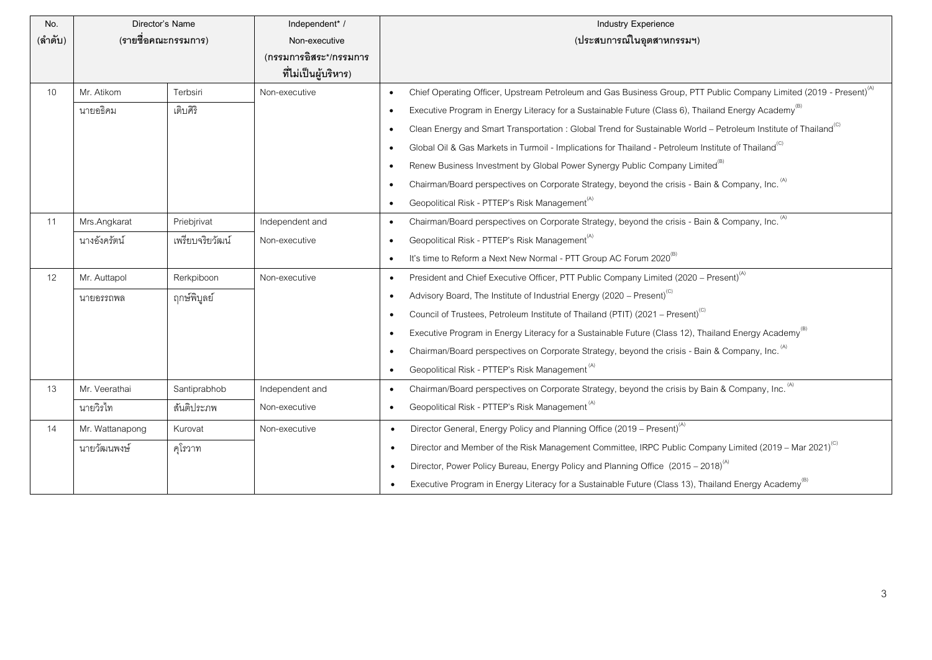| No.     | Director's Name     |                 | Independent* /                                 | <b>Industry Experience</b>                                                                                                                  |
|---------|---------------------|-----------------|------------------------------------------------|---------------------------------------------------------------------------------------------------------------------------------------------|
| (ลำดับ) | (รายชื่อคณะกรรมการ) |                 | Non-executive                                  | (ประสบการณ์ในอุตสาหกรรมฯ)                                                                                                                   |
|         |                     |                 | (กรรมการอิสระ*/กรรมการ<br>ที่ไม่เป็นผู้บริหาร) |                                                                                                                                             |
| 10      | Mr. Atikom          | Terbsiri        | Non-executive                                  | Chief Operating Officer, Upstream Petroleum and Gas Business Group, PTT Public Company Limited (2019 - Present) <sup>(A)</sup><br>$\bullet$ |
|         | นายอธิคม            | เติบศิริ        |                                                | Executive Program in Energy Literacy for a Sustainable Future (Class 6), Thailand Energy Academy <sup>(b)</sup><br>$\bullet$                |
|         |                     |                 |                                                | Clean Energy and Smart Transportation : Global Trend for Sustainable World - Petroleum Institute of Thailand <sup>(C)</sup><br>$\bullet$    |
|         |                     |                 |                                                | Global Oil & Gas Markets in Turmoil - Implications for Thailand - Petroleum Institute of Thailand <sup>(C)</sup><br>$\bullet$               |
|         |                     |                 |                                                | Renew Business Investment by Global Power Synergy Public Company Limited <sup>(B)</sup><br>$\bullet$                                        |
|         |                     |                 |                                                | Chairman/Board perspectives on Corporate Strategy, beyond the crisis - Bain & Company, Inc. (A)<br>$\bullet$                                |
|         |                     |                 |                                                | Geopolitical Risk - PTTEP's Risk Management <sup>(A)</sup><br>$\bullet$                                                                     |
| 11      | Mrs.Angkarat        | Priebjrivat     | Independent and                                | Chairman/Board perspectives on Corporate Strategy, beyond the crisis - Bain & Company, Inc. (A)<br>$\bullet$                                |
|         | นางอังครัตน์        | เพรียบจริยวัฒน์ | Non-executive                                  | Geopolitical Risk - PTTEP's Risk Management <sup>(A)</sup><br>$\bullet$                                                                     |
|         |                     |                 |                                                | It's time to Reform a Next New Normal - PTT Group AC Forum 2020 <sup>(B)</sup><br>$\bullet$                                                 |
| 12      | Mr. Auttapol        | Rerkpiboon      | Non-executive                                  | President and Chief Executive Officer, PTT Public Company Limited (2020 - Present) <sup>(A)</sup><br>$\bullet$                              |
|         | นายอรรถพล           | ฤกษ์พิบูลย์     |                                                | Advisory Board, The Institute of Industrial Energy (2020 – Present) <sup>(C)</sup><br>$\bullet$                                             |
|         |                     |                 |                                                | Council of Trustees, Petroleum Institute of Thailand (PTIT) (2021 – Present) <sup>(C)</sup><br>$\bullet$                                    |
|         |                     |                 |                                                | Executive Program in Energy Literacy for a Sustainable Future (Class 12), Thailand Energy Academy <sup>(B)</sup><br>$\bullet$               |
|         |                     |                 |                                                | Chairman/Board perspectives on Corporate Strategy, beyond the crisis - Bain & Company, Inc. (A)<br>$\bullet$                                |
|         |                     |                 |                                                | Geopolitical Risk - PTTEP's Risk Management <sup>(A)</sup><br>$\bullet$                                                                     |
| 13      | Mr. Veerathai       | Santiprabhob    | Independent and                                | Chairman/Board perspectives on Corporate Strategy, beyond the crisis by Bain & Company, Inc. <sup>(A)</sup><br>$\bullet$                    |
|         | นายวิรไท            | ส้นติประภพ      | Non-executive                                  | Geopolitical Risk - PTTEP's Risk Management <sup>(A)</sup><br>$\bullet$                                                                     |
| 14      | Mr. Wattanapong     | Kurovat         | Non-executive                                  | Director General, Energy Policy and Planning Office (2019 - Present) <sup>(A)</sup><br>$\bullet$                                            |
|         | นายวัฒนพงษ์         | คุโรวาท         |                                                | Director and Member of the Risk Management Committee, IRPC Public Company Limited (2019 – Mar 2021) <sup>(C)</sup><br>$\bullet$             |
|         |                     |                 |                                                | Director, Power Policy Bureau, Energy Policy and Planning Office (2015 – 2018) <sup>(A)</sup><br>$\bullet$                                  |
|         |                     |                 |                                                | Executive Program in Energy Literacy for a Sustainable Future (Class 13), Thailand Energy Academy <sup>(B)</sup><br>$\bullet$               |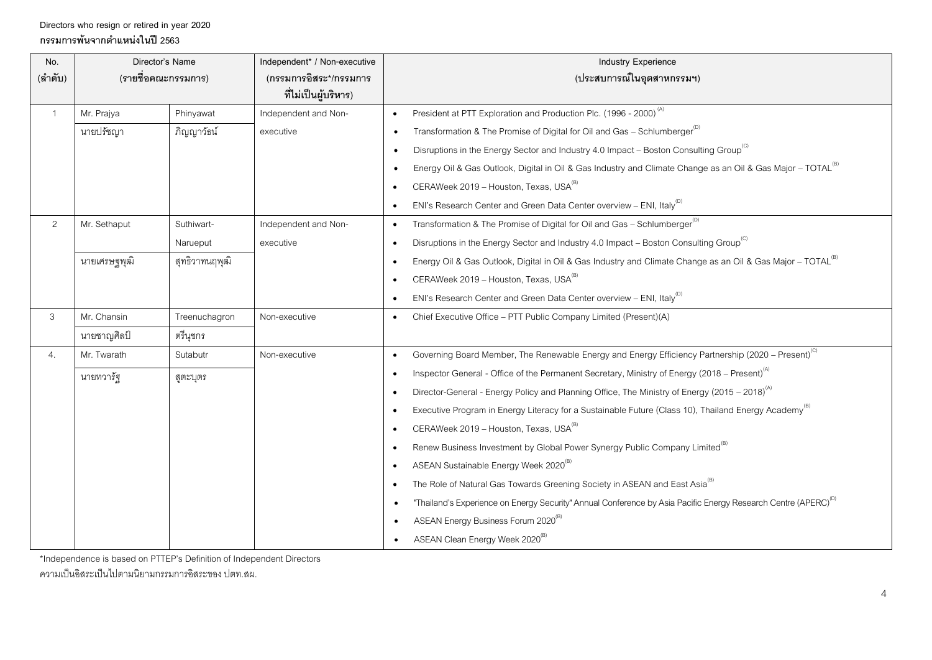## **Directors who resign or retired in year 2020 กรรมการพ้นจากต าแหน่งในปี 2563**

| No.<br>(ลำดับ) | Director's Name<br>(รายชื่อคณะกรรมการ) |                | Independent* / Non-executive<br>(กรรมการอิสระ*/กรรมการ<br>ที่ไม่เป็นผู้บริหาร) | Industry Experience<br>(ประสบการณ์ในอุตสาหกรรมฯ)                                                                                     |
|----------------|----------------------------------------|----------------|--------------------------------------------------------------------------------|--------------------------------------------------------------------------------------------------------------------------------------|
| $\mathbf{1}$   | Mr. Prajya                             | Phinyawat      | Independent and Non-                                                           | President at PTT Exploration and Production Plc. (1996 - 2000) <sup>(A)</sup>                                                        |
|                | นายปรัชญา                              | ภิญญาวัธน์     | executive                                                                      | Transformation & The Promise of Digital for Oil and Gas - Schlumberger <sup>(0)</sup>                                                |
|                |                                        |                |                                                                                | Disruptions in the Energy Sector and Industry 4.0 Impact - Boston Consulting Group <sup>(C)</sup>                                    |
|                |                                        |                |                                                                                | Energy Oil & Gas Outlook, Digital in Oil & Gas Industry and Climate Change as an Oil & Gas Major - TOTAL <sup>(B)</sup>              |
|                |                                        |                |                                                                                | CERAWeek 2019 - Houston, Texas, USA <sup>(B)</sup><br>$\bullet$                                                                      |
|                |                                        |                |                                                                                | ENI's Research Center and Green Data Center overview - ENI, Italy <sup>(D)</sup>                                                     |
| 2              | Mr. Sethaput                           | Suthiwart-     | Independent and Non-                                                           | Transformation & The Promise of Digital for Oil and Gas - Schlumberger <sup>(D)</sup>                                                |
|                |                                        | Narueput       | executive                                                                      | Disruptions in the Energy Sector and Industry 4.0 Impact - Boston Consulting Group <sup>(C)</sup>                                    |
|                | นายเศรษฐพุฒิ                           | สุทธิวาทนฤพุฒิ |                                                                                | Energy Oil & Gas Outlook, Digital in Oil & Gas Industry and Climate Change as an Oil & Gas Major - TOTAL <sup>(B)</sup><br>$\bullet$ |
|                |                                        |                |                                                                                | CERAWeek 2019 - Houston, Texas, USA <sup>(B)</sup><br>$\bullet$                                                                      |
|                |                                        |                |                                                                                | ENI's Research Center and Green Data Center overview - ENI, Italy <sup>(D)</sup>                                                     |
| 3              | Mr. Chansin                            | Treenuchagron  | Non-executive                                                                  | Chief Executive Office - PTT Public Company Limited (Present)(A)                                                                     |
|                | นายชาญศิลป์                            | ตรีนุชกร       |                                                                                |                                                                                                                                      |
| 4.             | Mr. Twarath                            | Sutabutr       | Non-executive                                                                  | Governing Board Member, The Renewable Energy and Energy Efficiency Partnership (2020 - Present) <sup>(C)</sup><br>$\bullet$          |
|                | นายทวารัฐ                              | สูตะบุตร       |                                                                                | Inspector General - Office of the Permanent Secretary, Ministry of Energy (2018 – Present) <sup>(A)</sup><br>$\bullet$               |
|                |                                        |                |                                                                                | Director-General - Energy Policy and Planning Office, The Ministry of Energy (2015 – 2018) <sup>(A)</sup>                            |
|                |                                        |                |                                                                                | Executive Program in Energy Literacy for a Sustainable Future (Class 10), Thailand Energy Academy <sup>(B)</sup>                     |
|                |                                        |                |                                                                                | CERAWeek 2019 - Houston, Texas, USA <sup>(B)</sup><br>$\bullet$                                                                      |
|                |                                        |                |                                                                                | Renew Business Investment by Global Power Synergy Public Company Limited <sup>(B)</sup>                                              |
|                |                                        |                |                                                                                | ASEAN Sustainable Energy Week 2020 <sup>(B)</sup><br>$\bullet$                                                                       |
|                |                                        |                |                                                                                | The Role of Natural Gas Towards Greening Society in ASEAN and East Asia <sup>(B)</sup>                                               |
|                |                                        |                |                                                                                | "Thailand's Experience on Energy Security" Annual Conference by Asia Pacific Energy Research Centre (APERC) <sup>(0)</sup>           |
|                |                                        |                |                                                                                | ASEAN Energy Business Forum 2020 <sup>(B)</sup>                                                                                      |
|                |                                        |                |                                                                                | ASEAN Clean Energy Week 2020 <sup>(B)</sup>                                                                                          |

\*Independence is based on PTTEP's Definition of Independent Directors

ความเป็นอิสระเป็นไปตามนิยามกรรมการอิสระของ ปตท.สผ.